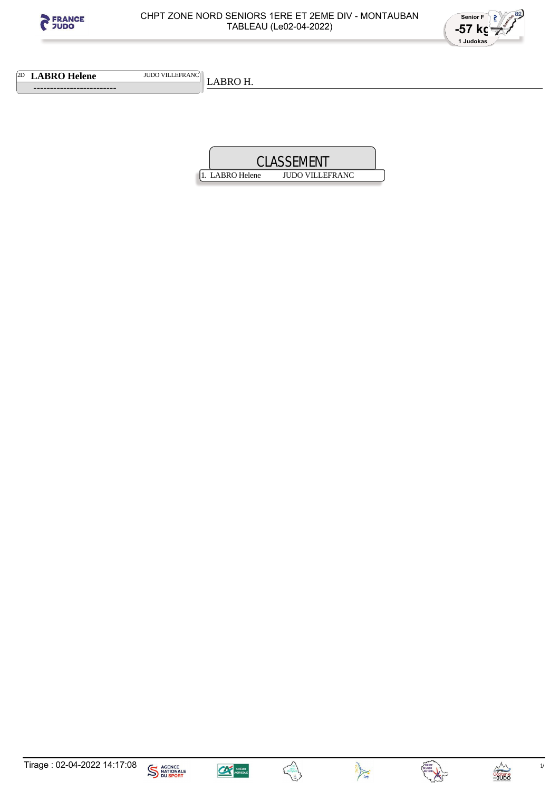



**2D LABRO Helene** JUDO VILLEFRANC

 **-------------------------** 

LABRO H.









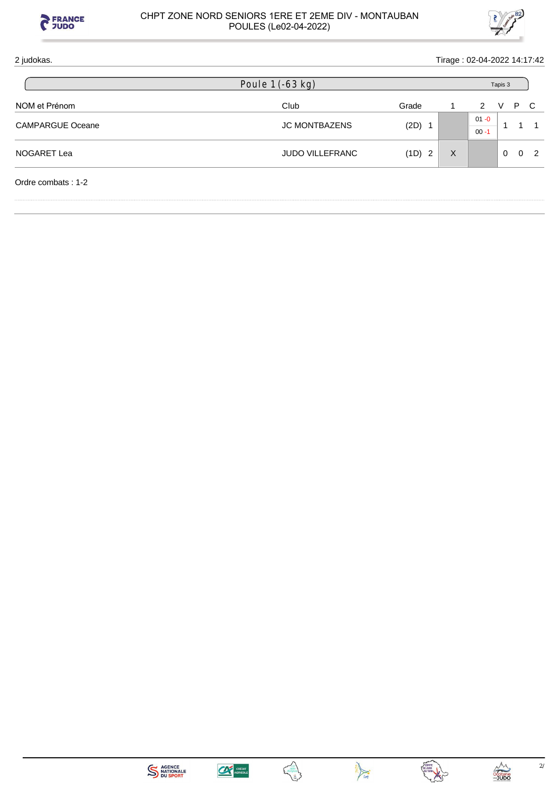

## CHPT ZONE NORD SENIORS 1ERE ET 2EME DIV - MONTAUBAN POULES (Le02-04-2022)



| 2 judokas.              |                        |          |          | Tirage: 02-04-2022 14:17:42 |                |   |   |  |
|-------------------------|------------------------|----------|----------|-----------------------------|----------------|---|---|--|
|                         | Poule 1 (-63 kg)       |          |          | Tapis 3                     |                |   |   |  |
| NOM et Prénom           | Club                   | Grade    |          | 2                           | v              | P | C |  |
| <b>CAMPARGUE Oceane</b> | <b>JC MONTBAZENS</b>   | $(2D)$ 1 |          | $01 - 0$<br>$00 - 1$        | $\overline{1}$ |   |   |  |
| NOGARET Lea             | <b>JUDO VILLEFRANC</b> | (1D) 2   | $\times$ |                             | $\Omega$       | 0 | 2 |  |
| Ordre combats: 1-2      |                        |          |          |                             |                |   |   |  |







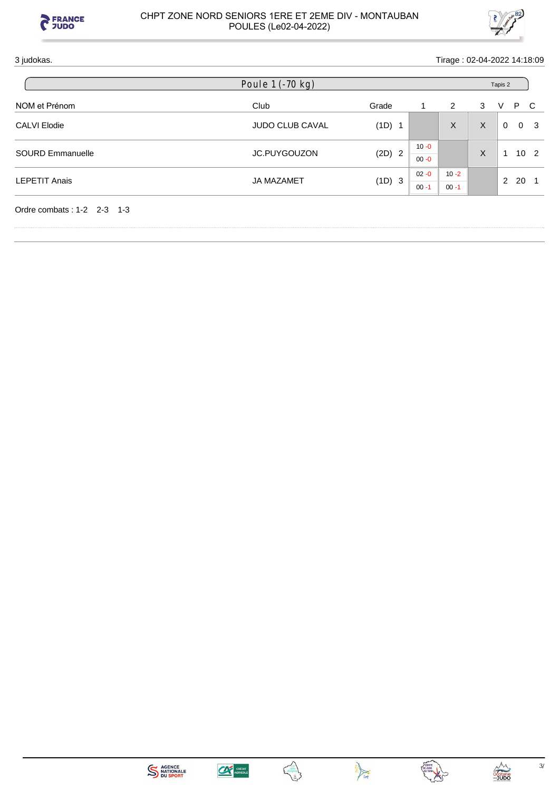



## 3 judokas. Tirage : 02-04-2022 14:18:09

| Poule 1 (-70 kg)       |          |                      |          | Tapis 2 |   |  |                  |  |
|------------------------|----------|----------------------|----------|---------|---|--|------------------|--|
| Club                   | Grade    |                      | 2        | 3       | V |  |                  |  |
| <b>JUDO CLUB CAVAL</b> | (1D) 1   |                      | X        | X       | 0 |  | 0 <sup>3</sup>   |  |
| <b>JC.PUYGOUZON</b>    | $(2D)$ 2 | $10 - 0$<br>$00 - 0$ |          | X       |   |  | 10 <sub>2</sub>  |  |
| <b>JA MAZAMET</b>      |          | $02 - 0$             | $10 - 2$ |         |   |  |                  |  |
|                        |          | $00 - 1$             | $00 - 1$ |         |   |  |                  |  |
|                        |          | (1D) 3               |          |         |   |  | P C<br>- 20<br>2 |  |









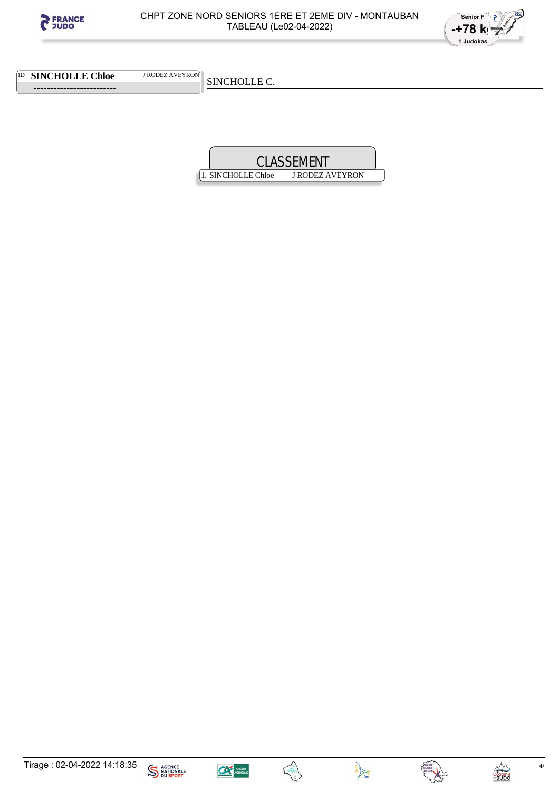



1D **SINCHOLLE Chloe** J RODEZ AVEYRON

 **-------------------------** 

SINCHOLLE C.











Decitanie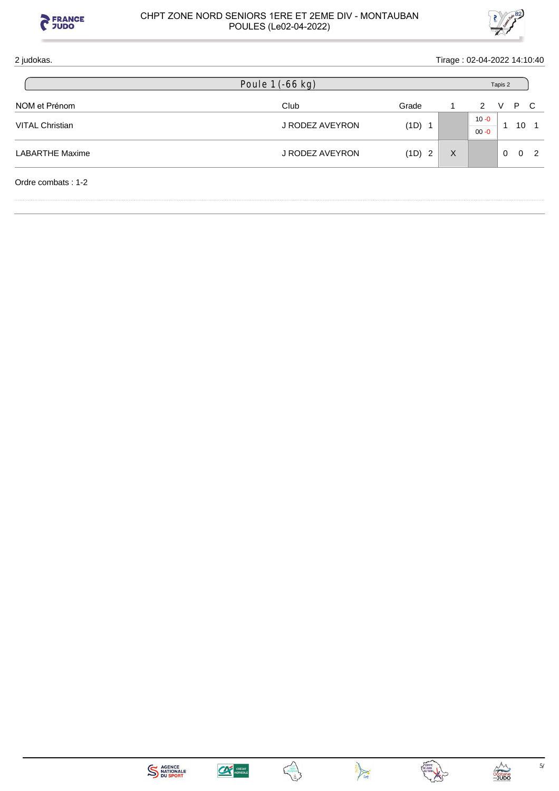

## CHPT ZONE NORD SENIORS 1ERE ET 2EME DIV - MONTAUBAN POULES (Le02-04-2022)



| 2 judokas.             |                  |          |          | Tirage: 02-04-2022 14:10:40 |          |          |   |
|------------------------|------------------|----------|----------|-----------------------------|----------|----------|---|
|                        | Poule 1 (-66 kg) |          |          | Tapis 2                     |          |          |   |
| NOM et Prénom          | Club             | Grade    |          | 2                           | v        | P        | C |
| <b>VITAL Christian</b> | J RODEZ AVEYRON  | $(1D)$ 1 |          | $10 - 0$<br>$00 - 0$        |          | 10       |   |
| <b>LABARTHE Maxime</b> | J RODEZ AVEYRON  | (1D) 2   | $\times$ |                             | $\Omega$ | $\Omega$ | 2 |
| Ordre combats: 1-2     |                  |          |          |                             |          |          |   |







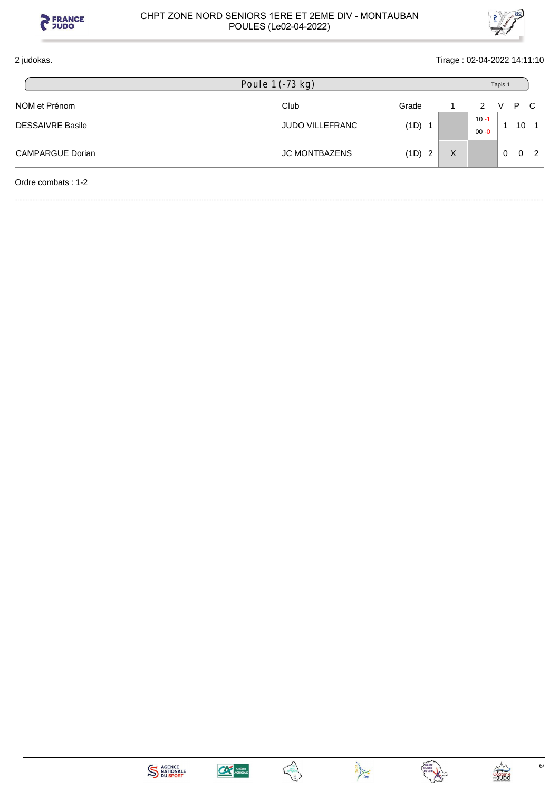

## CHPT ZONE NORD SENIORS 1ERE ET 2EME DIV - MONTAUBAN POULES (Le02-04-2022)



| 2 judokas.<br>Tirage: 02-04-2022 14:11:10 |                        |        |         |                            |  |  |
|-------------------------------------------|------------------------|--------|---------|----------------------------|--|--|
|                                           | Poule 1 (-73 kg)       |        | Tapis 1 |                            |  |  |
| NOM et Prénom                             | Club                   | Grade  |         | P C<br>$\mathcal{P}$<br>V  |  |  |
| <b>DESSAIVRE Basile</b>                   | <b>JUDO VILLEFRANC</b> | (1D) 1 |         | $10 - 1$<br>10<br>$00 - 0$ |  |  |
| <b>CAMPARGUE Dorian</b>                   | <b>JC MONTBAZENS</b>   | (1D) 2 | X       | $\Omega$<br>$\Omega$<br>2  |  |  |
| Ordre combats: 1-2                        |                        |        |         |                            |  |  |







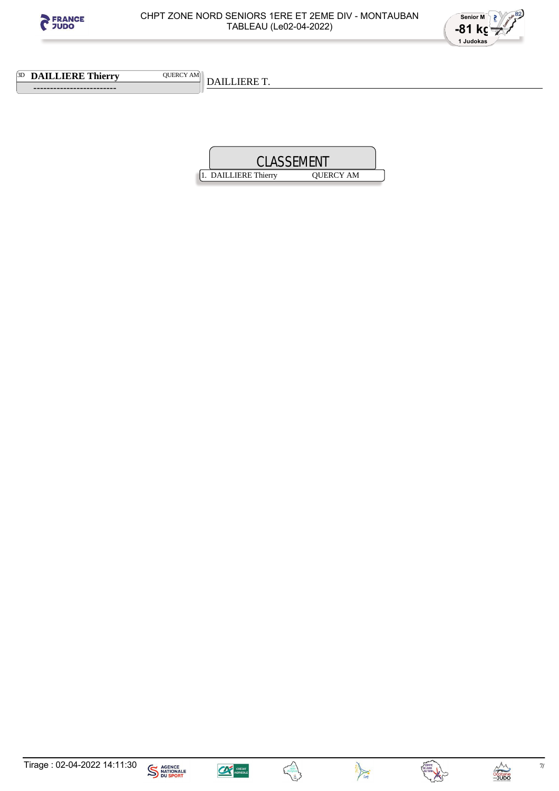



**3D DAILLIERE Thierry QUERCY AM** 

 **-------------------------** 

DAILLIERE T.









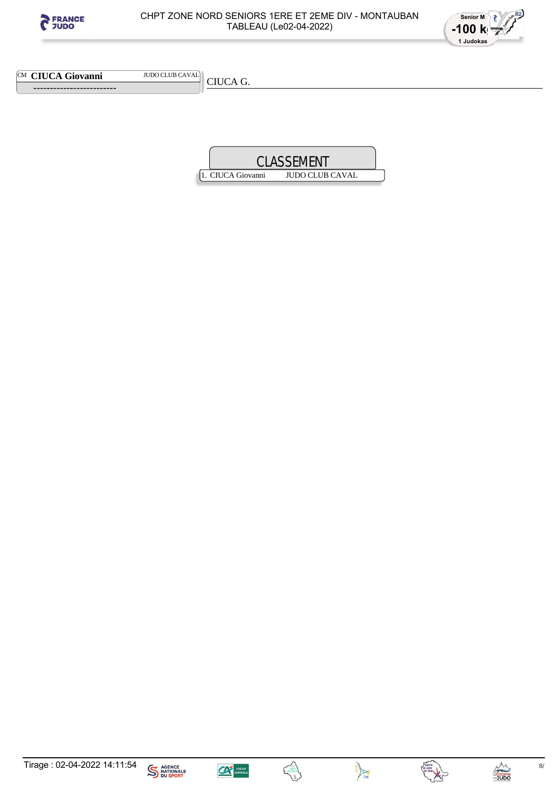



CM **CIUCA Giovanni** JUDO CLUB CAVAL

 **-------------------------** 

CIUCA G.

|                   | <b>CLASSEMENT</b> |  |
|-------------------|-------------------|--|
| 1. CIUCA Giovanni | JUDO CLUB CAVAL   |  |